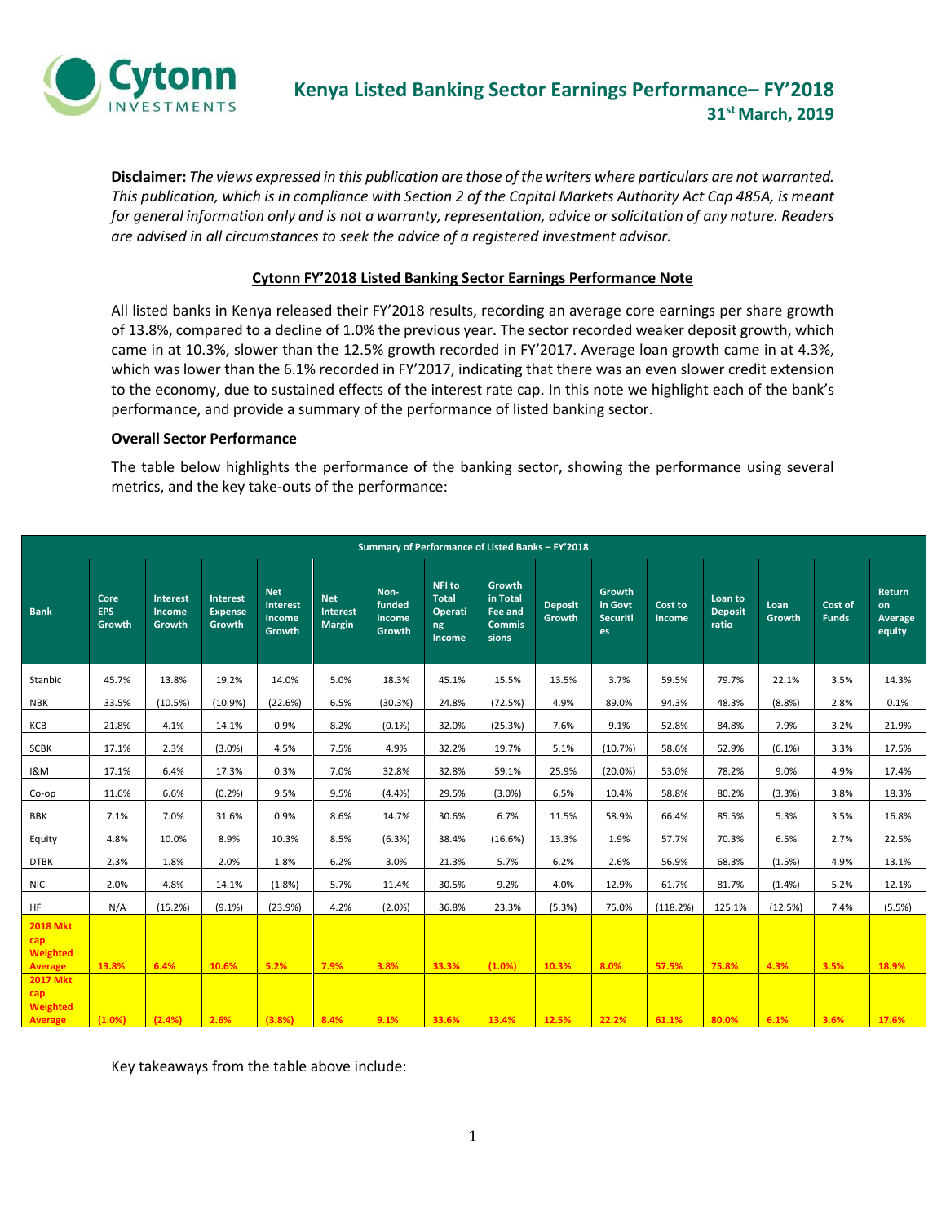

**Disclaimer:** *The views expressed in this publication are those of the writers where particulars are not warranted. This publication, which is in compliance with Section 2 of the Capital Markets Authority Act Cap 485A, is meant for general information only and is not a warranty, representation, advice or solicitation of any nature. Readers are advised in all circumstances to seek the advice of a registered investment advisor.*

### **Cytonn FY'2018 Listed Banking Sector Earnings Performance Note**

All listed banks in Kenya released their FY'2018 results, recording an average core earnings per share growth of 13.8%, compared to a decline of 1.0% the previous year. The sector recorded weaker deposit growth, which came in at 10.3%, slower than the 12.5% growth recorded in FY'2017. Average loan growth came in at 4.3%, which was lower than the 6.1% recorded in FY'2017, indicating that there was an even slower credit extension to the economy, due to sustained effects of the interest rate cap. In this note we highlight each of the bank's performance, and provide a summary of the performance of listed banking sector.

#### **Overall Sector Performance**

The table below highlights the performance of the banking sector, showing the performance using several metrics, and the key take-outs of the performance:

| Summary of Performance of Listed Banks - FY'2018                 |                              |                                     |                                             |                                                   |                                         |                                    |                                                   |                                                         |                          |                                            |                          |                                    |                |                         |                                          |
|------------------------------------------------------------------|------------------------------|-------------------------------------|---------------------------------------------|---------------------------------------------------|-----------------------------------------|------------------------------------|---------------------------------------------------|---------------------------------------------------------|--------------------------|--------------------------------------------|--------------------------|------------------------------------|----------------|-------------------------|------------------------------------------|
| <b>Bank</b>                                                      | Core<br><b>EPS</b><br>Growth | <b>Interest</b><br>Income<br>Growth | <b>Interest</b><br><b>Expense</b><br>Growth | <b>Net</b><br><b>Interest</b><br>Income<br>Growth | <b>Net</b><br>Interest<br><b>Margin</b> | Non-<br>funded<br>income<br>Growth | NFI to<br><b>Total</b><br>Operati<br>ng<br>Income | Growth<br>in Total<br>Fee and<br><b>Commis</b><br>sions | <b>Deposit</b><br>Growth | Growth<br>in Govt<br><b>Securiti</b><br>es | Cost to<br><b>Income</b> | Loan to<br><b>Deposit</b><br>ratio | Loan<br>Growth | Cost of<br><b>Funds</b> | Return<br>on<br><b>Average</b><br>equity |
| Stanbic                                                          | 45.7%                        | 13.8%                               | 19.2%                                       | 14.0%                                             | 5.0%                                    | 18.3%                              | 45.1%                                             | 15.5%                                                   | 13.5%                    | 3.7%                                       | 59.5%                    | 79.7%                              | 22.1%          | 3.5%                    | 14.3%                                    |
| <b>NBK</b>                                                       | 33.5%                        | (10.5%)                             | (10.9%                                      | (22.6%)                                           | 6.5%                                    | (30.3%)                            | 24.8%                                             | (72.5%)                                                 | 4.9%                     | 89.0%                                      | 94.3%                    | 48.3%                              | (8.8%)         | 2.8%                    | 0.1%                                     |
| KCB                                                              | 21.8%                        | 4.1%                                | 14.1%                                       | 0.9%                                              | 8.2%                                    | (0.1%                              | 32.0%                                             | (25.3%)                                                 | 7.6%                     | 9.1%                                       | 52.8%                    | 84.8%                              | 7.9%           | 3.2%                    | 21.9%                                    |
| <b>SCBK</b>                                                      | 17.1%                        | 2.3%                                | $(3.0\%)$                                   | 4.5%                                              | 7.5%                                    | 4.9%                               | 32.2%                                             | 19.7%                                                   | 5.1%                     | (10.7%)                                    | 58.6%                    | 52.9%                              | $(6.1\%)$      | 3.3%                    | 17.5%                                    |
| 1&M                                                              | 17.1%                        | 6.4%                                | 17.3%                                       | 0.3%                                              | 7.0%                                    | 32.8%                              | 32.8%                                             | 59.1%                                                   | 25.9%                    | $(20.0\%)$                                 | 53.0%                    | 78.2%                              | 9.0%           | 4.9%                    | 17.4%                                    |
| Co-op                                                            | 11.6%                        | 6.6%                                | (0.2%                                       | 9.5%                                              | 9.5%                                    | (4.4%)                             | 29.5%                                             | $(3.0\%)$                                               | 6.5%                     | 10.4%                                      | 58.8%                    | 80.2%                              | (3.3%)         | 3.8%                    | 18.3%                                    |
| <b>BBK</b>                                                       | 7.1%                         | 7.0%                                | 31.6%                                       | 0.9%                                              | 8.6%                                    | 14.7%                              | 30.6%                                             | 6.7%                                                    | 11.5%                    | 58.9%                                      | 66.4%                    | 85.5%                              | 5.3%           | 3.5%                    | 16.8%                                    |
| Equity                                                           | 4.8%                         | 10.0%                               | 8.9%                                        | 10.3%                                             | 8.5%                                    | (6.3%)                             | 38.4%                                             | (16.6%)                                                 | 13.3%                    | 1.9%                                       | 57.7%                    | 70.3%                              | 6.5%           | 2.7%                    | 22.5%                                    |
| <b>DTBK</b>                                                      | 2.3%                         | 1.8%                                | 2.0%                                        | 1.8%                                              | 6.2%                                    | 3.0%                               | 21.3%                                             | 5.7%                                                    | 6.2%                     | 2.6%                                       | 56.9%                    | 68.3%                              | (1.5%)         | 4.9%                    | 13.1%                                    |
| <b>NIC</b>                                                       | 2.0%                         | 4.8%                                | 14.1%                                       | (1.8%)                                            | 5.7%                                    | 11.4%                              | 30.5%                                             | 9.2%                                                    | 4.0%                     | 12.9%                                      | 61.7%                    | 81.7%                              | (1.4% )        | 5.2%                    | 12.1%                                    |
| <b>HF</b>                                                        | N/A                          | (15.2%)                             | $(9.1\%)$                                   | (23.9%)                                           | 4.2%                                    | (2.0%                              | 36.8%                                             | 23.3%                                                   | (5.3%)                   | 75.0%                                      | (118.2%)                 | 125.1%                             | (12.5%)        | 7.4%                    | (5.5%)                                   |
| <b>2018 Mkt</b><br>cap<br>Weighted<br>Average<br><b>2017 Mkt</b> | 13.8%                        | 6.4%                                | 10.6%                                       | 5.2%                                              | 7.9%                                    | 3.8%                               | 33.3%                                             | (1.0%)                                                  | 10.3%                    | 8.0%                                       | 57.5%                    | 75.8%                              | 4.3%           | 3.5%                    | 18.9%                                    |
| cap<br><b>Weighted</b><br>Average                                | (1.0%)                       | (2.4%)                              | 2.6%                                        | (3.8%)                                            | 8.4%                                    | 9.1%                               | 33.6%                                             | 13.4%                                                   | 12.5%                    | 22.2%                                      | 61.1%                    | 80.0%                              | 6.1%           | 3.6%                    | 17.6%                                    |

Key takeaways from the table above include: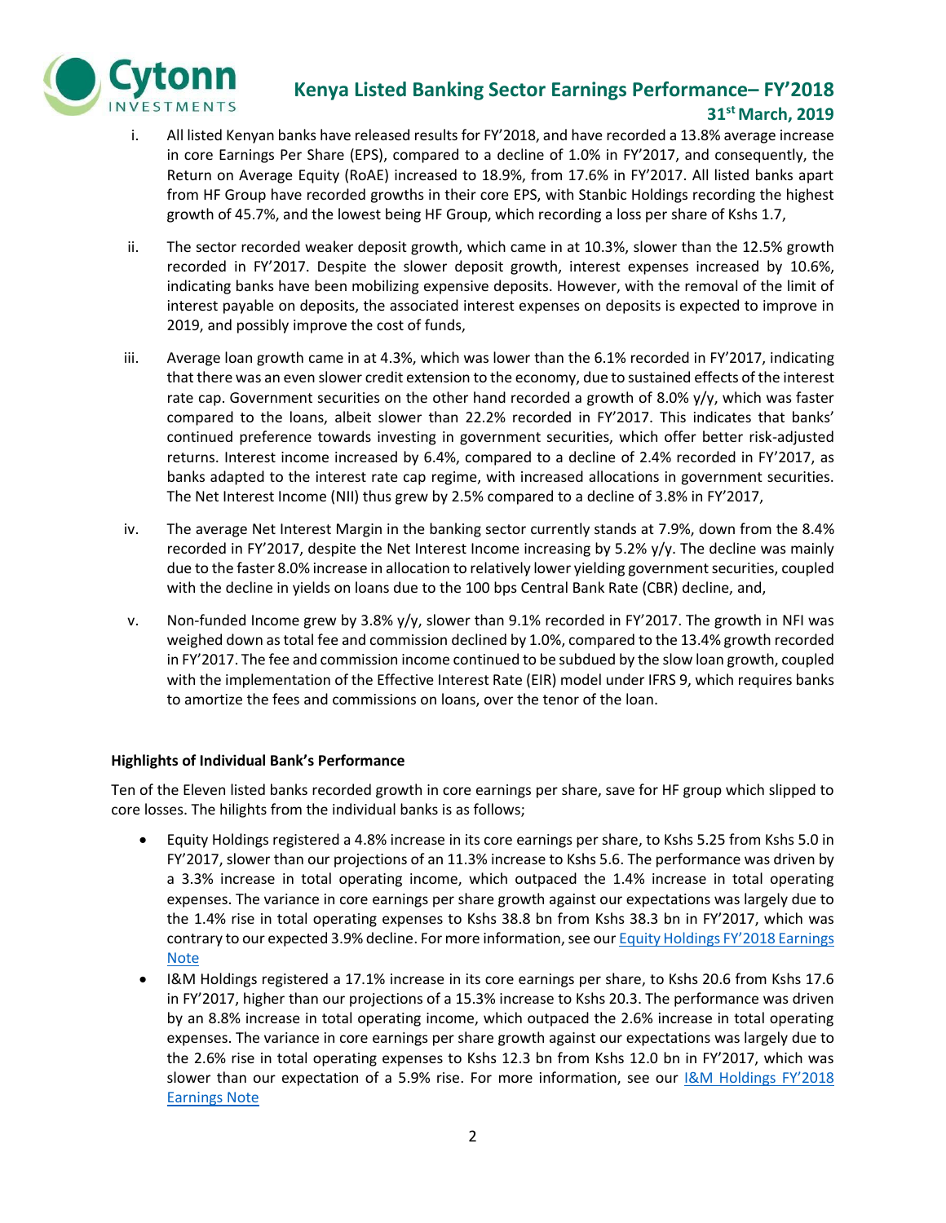

### **Kenya Listed Banking Sector Earnings Performance– FY'2018 31st March, 2019**

- i. All listed Kenyan banks have released results for FY'2018, and have recorded a 13.8% average increase in core Earnings Per Share (EPS), compared to a decline of 1.0% in FY'2017, and consequently, the Return on Average Equity (RoAE) increased to 18.9%, from 17.6% in FY'2017. All listed banks apart from HF Group have recorded growths in their core EPS, with Stanbic Holdings recording the highest growth of 45.7%, and the lowest being HF Group, which recording a loss per share of Kshs 1.7,
- ii. The sector recorded weaker deposit growth, which came in at 10.3%, slower than the 12.5% growth recorded in FY'2017. Despite the slower deposit growth, interest expenses increased by 10.6%, indicating banks have been mobilizing expensive deposits. However, with the removal of the limit of interest payable on deposits, the associated interest expenses on deposits is expected to improve in 2019, and possibly improve the cost of funds,
- iii. Average loan growth came in at 4.3%, which was lower than the 6.1% recorded in FY'2017, indicating that there was an even slower credit extension to the economy, due to sustained effects of the interest rate cap. Government securities on the other hand recorded a growth of 8.0%  $y/y$ , which was faster compared to the loans, albeit slower than 22.2% recorded in FY'2017. This indicates that banks' continued preference towards investing in government securities, which offer better risk-adjusted returns. Interest income increased by 6.4%, compared to a decline of 2.4% recorded in FY'2017, as banks adapted to the interest rate cap regime, with increased allocations in government securities. The Net Interest Income (NII) thus grew by 2.5% compared to a decline of 3.8% in FY'2017,
- iv. The average Net Interest Margin in the banking sector currently stands at 7.9%, down from the 8.4% recorded in FY'2017, despite the Net Interest Income increasing by 5.2% y/y. The decline was mainly due to the faster 8.0% increase in allocation to relatively lower yielding government securities, coupled with the decline in yields on loans due to the 100 bps Central Bank Rate (CBR) decline, and,
- v. Non-funded Income grew by 3.8% y/y, slower than 9.1% recorded in FY'2017. The growth in NFI was weighed down as total fee and commission declined by 1.0%, compared to the 13.4% growth recorded in FY'2017. The fee and commission income continued to be subdued by the slow loan growth, coupled with the implementation of the Effective Interest Rate (EIR) model under IFRS 9, which requires banks to amortize the fees and commissions on loans, over the tenor of the loan.

### **Highlights of Individual Bank's Performance**

Ten of the Eleven listed banks recorded growth in core earnings per share, save for HF group which slipped to core losses. The hilights from the individual banks is as follows;

- Equity Holdings registered a 4.8% increase in its core earnings per share, to Kshs 5.25 from Kshs 5.0 in FY'2017, slower than our projections of an 11.3% increase to Kshs 5.6. The performance was driven by a 3.3% increase in total operating income, which outpaced the 1.4% increase in total operating expenses. The variance in core earnings per share growth against our expectations was largely due to the 1.4% rise in total operating expenses to Kshs 38.8 bn from Kshs 38.3 bn in FY'2017, which was contrary to our expected 3.9% decline. For more information, see our Equity Holdings FY'2018 Earnings **[Note](https://cytonn.com/uploads/downloads/equity-group-fy2018-earnings-note-vf.pdf)**
- I&M Holdings registered a 17.1% increase in its core earnings per share, to Kshs 20.6 from Kshs 17.6 in FY'2017, higher than our projections of a 15.3% increase to Kshs 20.3. The performance was driven by an 8.8% increase in total operating income, which outpaced the 2.6% increase in total operating expenses. The variance in core earnings per share growth against our expectations was largely due to the 2.6% rise in total operating expenses to Kshs 12.3 bn from Kshs 12.0 bn in FY'2017, which was slower than our expectation of a 5.9% rise. For more information, see our [I&M Holdings FY'2018](https://cytonn.com/uploads/downloads/im-holdings-plc-fy2018-earnings-note-vf.pdf)  [Earnings Note](https://cytonn.com/uploads/downloads/im-holdings-plc-fy2018-earnings-note-vf.pdf)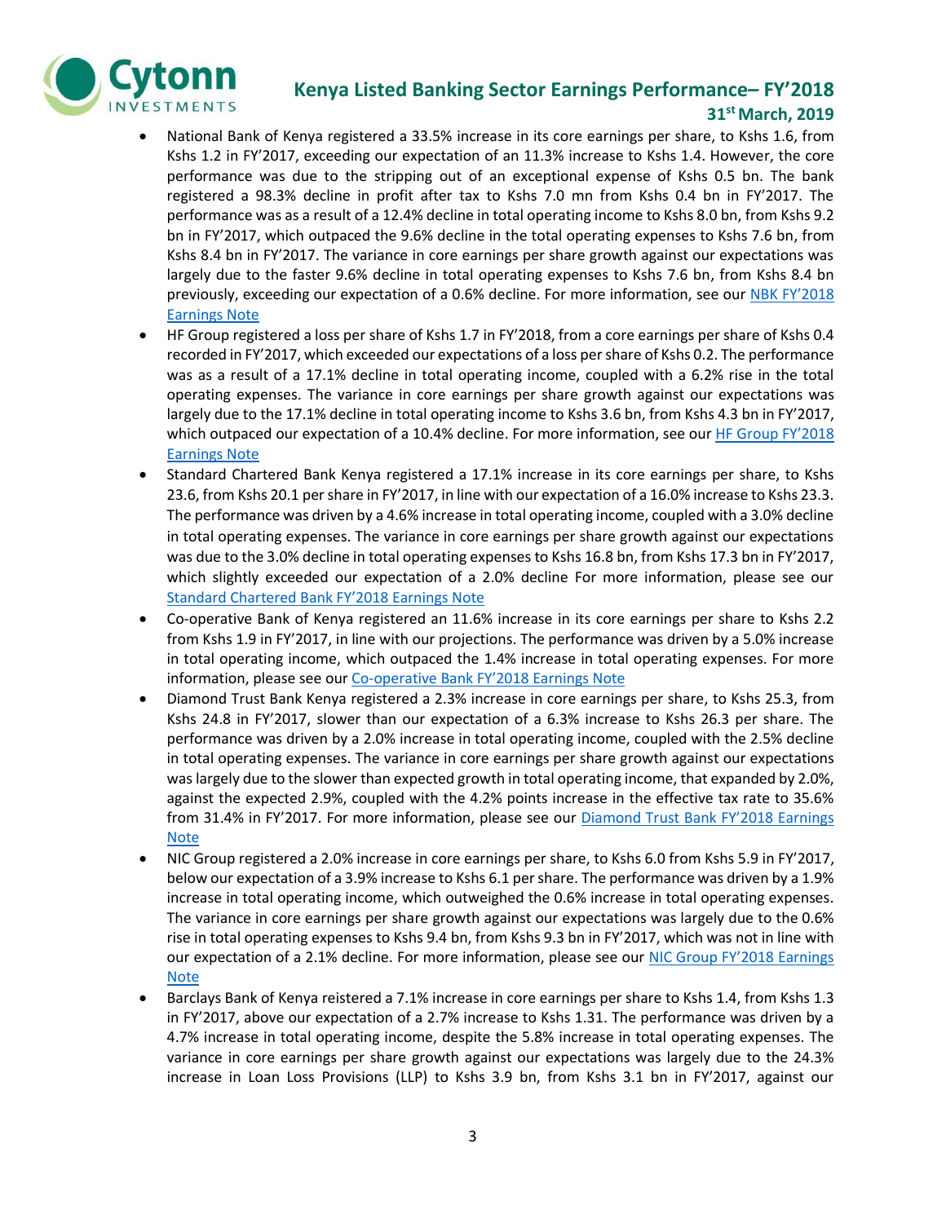

## **Kenya Listed Banking Sector Earnings Performance– FY'2018**

### **31st March, 2019**

- National Bank of Kenya registered a 33.5% increase in its core earnings per share, to Kshs 1.6, from Kshs 1.2 in FY'2017, exceeding our expectation of an 11.3% increase to Kshs 1.4. However, the core performance was due to the stripping out of an exceptional expense of Kshs 0.5 bn. The bank registered a 98.3% decline in profit after tax to Kshs 7.0 mn from Kshs 0.4 bn in FY'2017. The performance was as a result of a 12.4% decline in total operating income to Kshs 8.0 bn, from Kshs 9.2 bn in FY'2017, which outpaced the 9.6% decline in the total operating expenses to Kshs 7.6 bn, from Kshs 8.4 bn in FY'2017. The variance in core earnings per share growth against our expectations was largely due to the faster 9.6% decline in total operating expenses to Kshs 7.6 bn, from Kshs 8.4 bn previously, exceeding our expectation of a 0.6% decline. For more information, see our NBK FY'2018 [Earnings Note](https://cytonn.com/uploads/downloads/nbk-fy2018-earnings-note-vf.pdf)
- HF Group registered a loss per share of Kshs 1.7 in FY'2018, from a core earnings per share of Kshs 0.4 recorded in FY'2017, which exceeded our expectations of a loss per share of Kshs 0.2. The performance was as a result of a 17.1% decline in total operating income, coupled with a 6.2% rise in the total operating expenses. The variance in core earnings per share growth against our expectations was largely due to the 17.1% decline in total operating income to Kshs 3.6 bn, from Kshs 4.3 bn in FY'2017, which outpaced our expectation of a 10.4% decline. For more information, see our HF Group FY'2018 [Earnings Note](https://cytonn.com/uploads/downloads/hf-group-fy2018-earnings-note-vf.pdf)
- Standard Chartered Bank Kenya registered a 17.1% increase in its core earnings per share, to Kshs 23.6, from Kshs 20.1 per share in FY'2017, in line with our expectation of a 16.0% increase to Kshs 23.3. The performance was driven by a 4.6% increase in total operating income, coupled with a 3.0% decline in total operating expenses. The variance in core earnings per share growth against our expectations was due to the 3.0% decline in total operating expenses to Kshs 16.8 bn, from Kshs 17.3 bn in FY'2017, which slightly exceeded our expectation of a 2.0% decline For more information, please see our [Standard Chartered Bank FY'2018 Earnings Note](https://cytonn.com/uploads/downloads/standard-chartered-bank-kenya-fy2018-earnings-note-vf.pdf)
- Co-operative Bank of Kenya registered an 11.6% increase in its core earnings per share to Kshs 2.2 from Kshs 1.9 in FY'2017, in line with our projections. The performance was driven by a 5.0% increase in total operating income, which outpaced the 1.4% increase in total operating expenses. For more information, please see our Co-[operative Bank FY'2018 Earnings Note](https://cytonn.com/uploads/downloads/coop-fy2018-earnings-note-vf.pdf)
- Diamond Trust Bank Kenya registered a 2.3% increase in core earnings per share, to Kshs 25.3, from Kshs 24.8 in FY'2017, slower than our expectation of a 6.3% increase to Kshs 26.3 per share. The performance was driven by a 2.0% increase in total operating income, coupled with the 2.5% decline in total operating expenses. The variance in core earnings per share growth against our expectations was largely due to the slower than expected growth in total operating income, that expanded by 2.0%, against the expected 2.9%, coupled with the 4.2% points increase in the effective tax rate to 35.6% from 31.4% in FY'2017. For more information, please see our Diamond Trust Bank FY'2018 Earnings [Note](https://cytonn.com/uploads/downloads/diamond-trust-bank-kenya-fy2018-earnings-note-vf.pdf)
- NIC Group registered a 2.0% increase in core earnings per share, to Kshs 6.0 from Kshs 5.9 in FY'2017, below our expectation of a 3.9% increase to Kshs 6.1 per share. The performance was driven by a 1.9% increase in total operating income, which outweighed the 0.6% increase in total operating expenses. The variance in core earnings per share growth against our expectations was largely due to the 0.6% rise in total operating expenses to Kshs 9.4 bn, from Kshs 9.3 bn in FY'2017, which was not in line with our expectation of a 2.1% decline. For more information, please see our NIC Group FY'2018 Earnings [Note](https://cytonn.com/uploads/downloads/nic-group-fy2018-earnings-note-vf.pdf)
- Barclays Bank of Kenya reistered a 7.1% increase in core earnings per share to Kshs 1.4, from Kshs 1.3 in FY'2017, above our expectation of a 2.7% increase to Kshs 1.31. The performance was driven by a 4.7% increase in total operating income, despite the 5.8% increase in total operating expenses. The variance in core earnings per share growth against our expectations was largely due to the 24.3% increase in Loan Loss Provisions (LLP) to Kshs 3.9 bn, from Kshs 3.1 bn in FY'2017, against our